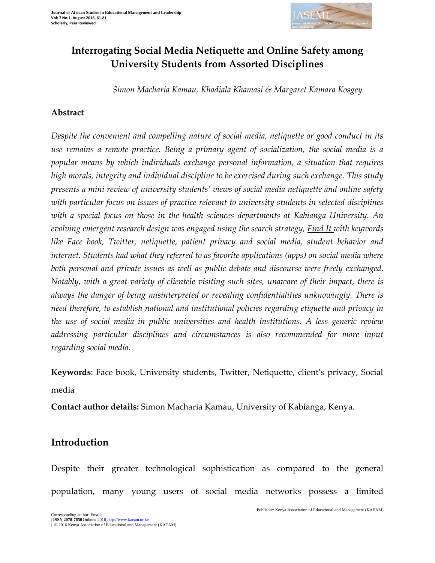

# **Interrogating Social Media Netiquette and Online Safety among University Students from Assorted Disciplines**

*Simon Macharia Kamau, Khadiala Khamasi & Margaret Kamara Kosgey*

### **Abstract**

*Despite the convenient and compelling nature of social media, netiquette or good conduct in its use remains a remote practice. Being a primary agent of socialization, the social media is a popular means by which individuals exchange personal information, a situation that requires high morals, integrity and individual discipline to be exercised during such exchange. This study presents a mini review of university students' views of social media netiquette and online safety with particular focus on issues of practice relevant to university students in selected disciplines with a special focus on those in the health sciences departments at Kabianga University. An evolving emergent research design was engaged using the search strategy, Find It with keywords like Face book, Twitter, netiquette, patient privacy and social media, student behavior and internet. Students had what they referred to as favorite applications (apps) on social media where both personal and private issues as well as public debate and discourse were freely exchanged. Notably, with a great variety of clientele visiting such sites, unaware of their impact, there is always the danger of being misinterpreted or revealing confidentialities unknowingly. There is need therefore, to establish national and institutional policies regarding etiquette and privacy in the use of social media in public universities and health institutions. A less generic review addressing particular disciplines and circumstances is also recommended for more input regarding social media.*

**Keywords**: Face book, University students, Twitter, Netiquette, client's privacy, Social media

**Contact author details:** Simon Macharia Kamau, University of Kabianga, Kenya.

## **Introduction**

Despite their greater technological sophistication as compared to the general population, many young users of social media networks possess a limited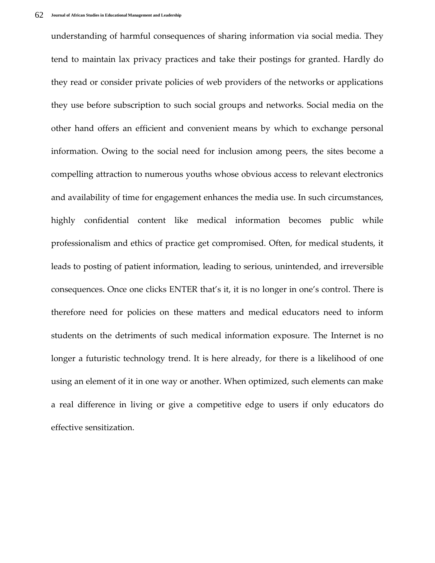understanding of harmful consequences of sharing information via social media. They tend to maintain lax privacy practices and take their postings for granted. Hardly do they read or consider private policies of web providers of the networks or applications they use before subscription to such social groups and networks. Social media on the other hand offers an efficient and convenient means by which to exchange personal information. Owing to the social need for inclusion among peers, the sites become a compelling attraction to numerous youths whose obvious access to relevant electronics and availability of time for engagement enhances the media use. In such circumstances, highly confidential content like medical information becomes public while professionalism and ethics of practice get compromised. Often, for medical students, it leads to posting of patient information, leading to serious, unintended, and irreversible consequences. Once one clicks ENTER that's it, it is no longer in one's control. There is therefore need for policies on these matters and medical educators need to inform students on the detriments of such medical information exposure. The Internet is no longer a futuristic technology trend. It is here already, for there is a likelihood of one using an element of it in one way or another. When optimized, such elements can make a real difference in living or give a competitive edge to users if only educators do effective sensitization.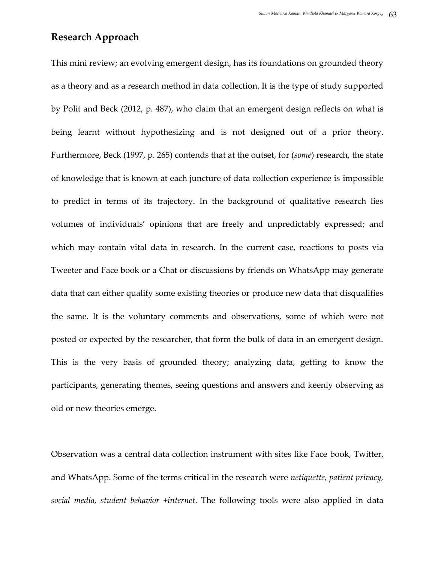## **Research Approach**

This mini review; an evolving emergent design, has its foundations on grounded theory as a theory and as a research method in data collection. It is the type of study supported by Polit and Beck (2012, p. 487), who claim that an emergent design reflects on what is being learnt without hypothesizing and is not designed out of a prior theory. Furthermore, Beck (1997, p. 265) contends that at the outset, for (*some*) research, the state of knowledge that is known at each juncture of data collection experience is impossible to predict in terms of its trajectory. In the background of qualitative research lies volumes of individuals' opinions that are freely and unpredictably expressed; and which may contain vital data in research. In the current case, reactions to posts via Tweeter and Face book or a Chat or discussions by friends on WhatsApp may generate data that can either qualify some existing theories or produce new data that disqualifies the same. It is the voluntary comments and observations, some of which were not posted or expected by the researcher, that form the bulk of data in an emergent design. This is the very basis of grounded theory; analyzing data, getting to know the participants, generating themes, seeing questions and answers and keenly observing as old or new theories emerge.

Observation was a central data collection instrument with sites like Face book, Twitter, and WhatsApp. Some of the terms critical in the research were *netiquette, patient privacy, social media, student behavior +internet*. The following tools were also applied in data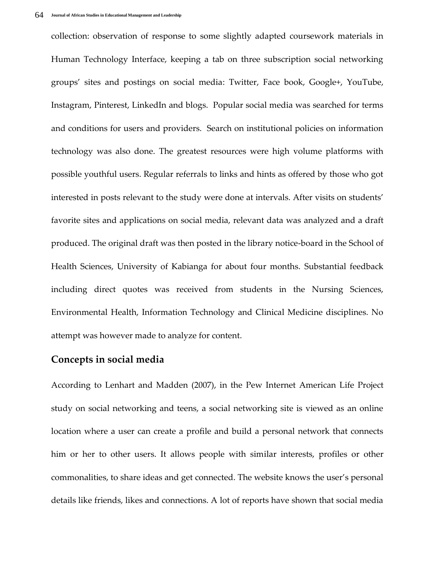collection: observation of response to some slightly adapted coursework materials in Human Technology Interface, keeping a tab on three subscription social networking groups' sites and postings on social media: Twitter, Face book, Google+, YouTube, Instagram, Pinterest, LinkedIn and blogs. Popular social media was searched for terms and conditions for users and providers. Search on institutional policies on information technology was also done. The greatest resources were high volume platforms with possible youthful users. Regular referrals to links and hints as offered by those who got interested in posts relevant to the study were done at intervals. After visits on students' favorite sites and applications on social media, relevant data was analyzed and a draft produced. The original draft was then posted in the library notice-board in the School of Health Sciences, University of Kabianga for about four months. Substantial feedback including direct quotes was received from students in the Nursing Sciences, Environmental Health, Information Technology and Clinical Medicine disciplines. No attempt was however made to analyze for content.

#### **Concepts in social media**

According to Lenhart and Madden (2007), in the Pew Internet American Life Project study on social networking and teens, a social networking site is viewed as an online location where a user can create a profile and build a personal network that connects him or her to other users. It allows people with similar interests, profiles or other commonalities, to share ideas and get connected. The website knows the user's personal details like friends, likes and connections. A lot of reports have shown that social media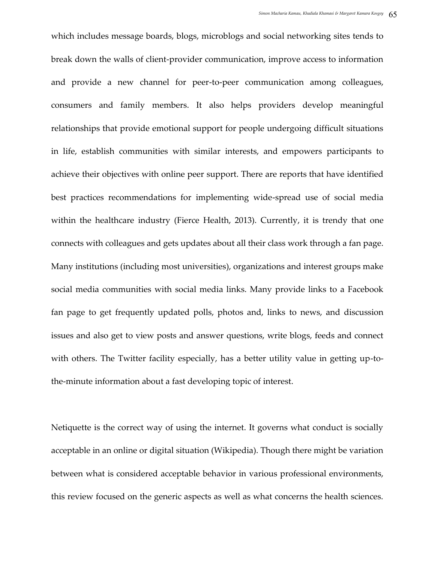which includes message boards, blogs, microblogs and social networking sites tends to break down the walls of client-provider communication, improve access to information and provide a new channel for peer-to-peer communication among colleagues, consumers and family members. It also helps providers develop meaningful relationships that provide emotional support for people undergoing difficult situations in life, establish communities with similar interests, and empowers participants to achieve their objectives with online peer support. There are reports that have identified best practices recommendations for implementing wide-spread use of social media within the healthcare industry (Fierce Health, 2013). Currently, it is trendy that one connects with colleagues and gets updates about all their class work through a fan page. Many institutions (including most universities), organizations and interest groups make social media communities with social media links. Many provide links to a Facebook fan page to get frequently updated polls, photos and, links to news, and discussion issues and also get to view posts and answer questions, write blogs, feeds and connect with others. The Twitter facility especially, has a better utility value in getting up-tothe-minute information about a fast developing topic of interest.

Netiquette is the correct way of using the internet. It governs what conduct is socially acceptable in an online or digital situation (Wikipedia). Though there might be variation between what is considered acceptable behavior in various professional environments, this review focused on the generic aspects as well as what concerns the health sciences.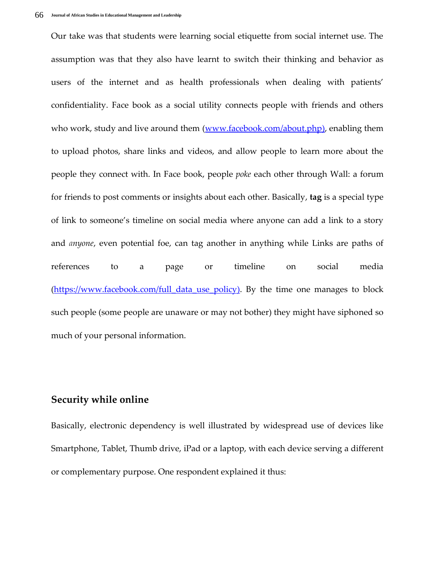Our take was that students were learning social etiquette from social internet use. The assumption was that they also have learnt to switch their thinking and behavior as users of the internet and as health professionals when dealing with patients' confidentiality. Face book as a social utility connects people with friends and others who work, study and live around them [\(www.facebook.com/about.php\)](http://www.facebook.com/about.php), enabling them to upload photos, share links and videos, and allow people to learn more about the people they connect with. In Face book, people *poke* each other through Wall: a forum for friends to post comments or insights about each other. Basically, **tag** is a special type of link to someone's timeline on social media where anyone can add a link to a story and *anyone*, even potential foe, can tag another in anything while Links are paths of references to a page or timeline on social media [\(https://www.facebook.com/full\\_data\\_use\\_policy\)](https://www.facebook.com/full_data_use_policy). By the time one manages to block such people (some people are unaware or may not bother) they might have siphoned so much of your personal information.

#### **Security while online**

Basically, electronic dependency is well illustrated by widespread use of devices like Smartphone, Tablet, Thumb drive, iPad or a laptop, with each device serving a different or complementary purpose. One respondent explained it thus: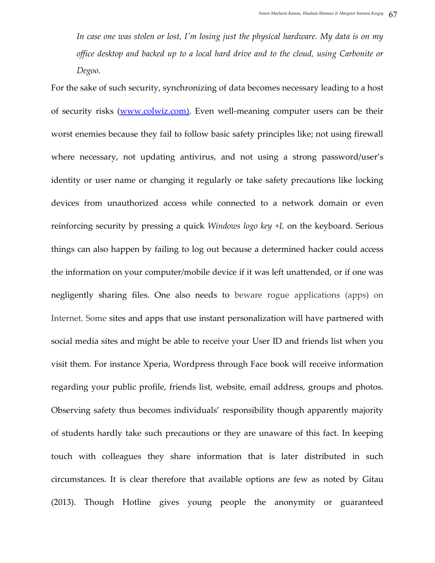*In case one was stolen or lost, I'm losing just the physical hardware. My data is on my office desktop and backed up to a local hard drive and to the cloud, using Carbonite or Degoo.*

For the sake of such security, synchronizing of data becomes necessary leading to a host of security risks [\(www.colwiz.com\)](http://www.colwiz.com/). Even well-meaning computer users can be their worst enemies because they fail to follow basic safety principles like; not using firewall where necessary, not updating antivirus, and not using a strong password/user's identity or user name or changing it regularly or take safety precautions like locking devices from unauthorized access while connected to a network domain or even reinforcing security by pressing a quick *Windows logo key +L* on the keyboard. Serious things can also happen by failing to log out because a determined hacker could access the information on your computer/mobile device if it was left unattended, or if one was negligently sharing files. One also needs to beware rogue applications (apps) on Internet. Some sites and apps that use instant personalization will have partnered with social media sites and might be able to receive your User ID and friends list when you visit them. For instance Xperia, Wordpress through Face book will receive information regarding your public profile, friends list, website, email address, groups and photos. Observing safety thus becomes individuals' responsibility though apparently majority of students hardly take such precautions or they are unaware of this fact. In keeping touch with colleagues they share information that is later distributed in such circumstances. It is clear therefore that available options are few as noted by Gitau (2013). Though Hotline gives young people the anonymity or guaranteed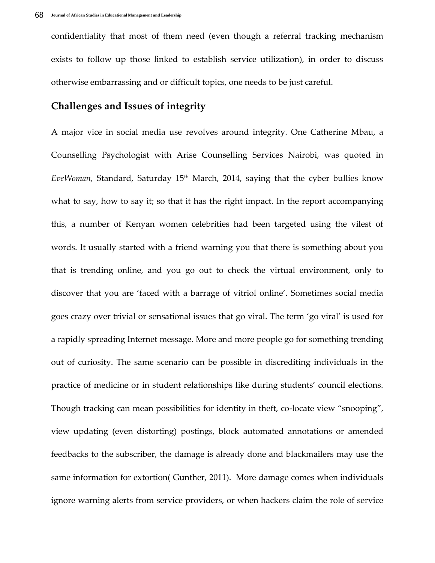confidentiality that most of them need (even though a referral tracking mechanism exists to follow up those linked to establish service utilization), in order to discuss otherwise embarrassing and or difficult topics, one needs to be just careful.

## **Challenges and Issues of integrity**

A major vice in social media use revolves around integrity. One Catherine Mbau, a Counselling Psychologist with Arise Counselling Services Nairobi, was quoted in *EveWoman,* Standard, Saturday 15<sup>th</sup> March, 2014, saying that the cyber bullies know what to say, how to say it; so that it has the right impact. In the report accompanying this, a number of Kenyan women celebrities had been targeted using the vilest of words. It usually started with a friend warning you that there is something about you that is trending online, and you go out to check the virtual environment, only to discover that you are 'faced with a barrage of vitriol online'. Sometimes social media goes crazy over trivial or sensational issues that go viral. The term 'go viral' is used for a rapidly spreading Internet message. More and more people go for something trending out of curiosity. The same scenario can be possible in discrediting individuals in the practice of medicine or in student relationships like during students' council elections. Though tracking can mean possibilities for identity in theft, co-locate view "snooping", view updating (even distorting) postings, block automated annotations or amended feedbacks to the subscriber, the damage is already done and blackmailers may use the same information for extortion( Gunther, 2011). More damage comes when individuals ignore warning alerts from service providers, or when hackers claim the role of service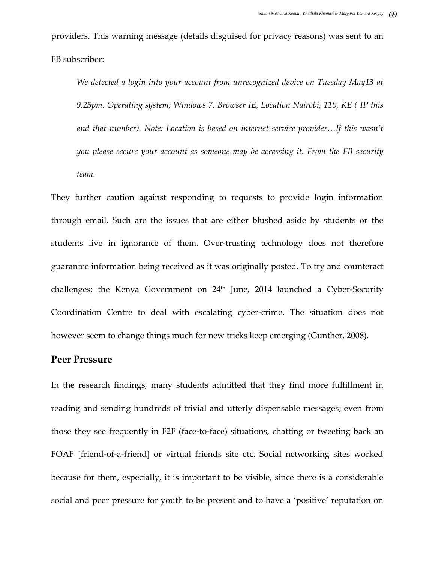providers. This warning message (details disguised for privacy reasons) was sent to an FB subscriber:

*We detected a login into your account from unrecognized device on Tuesday May13 at 9.25pm. Operating system; Windows 7. Browser IE, Location Nairobi, 110, KE ( IP this and that number). Note: Location is based on internet service provider…If this wasn't you please secure your account as someone may be accessing it. From the FB security team.*

They further caution against responding to requests to provide login information through email. Such are the issues that are either blushed aside by students or the students live in ignorance of them. Over-trusting technology does not therefore guarantee information being received as it was originally posted. To try and counteract challenges; the Kenya Government on 24<sup>th</sup> June, 2014 launched a Cyber-Security Coordination Centre to deal with escalating cyber-crime. The situation does not however seem to change things much for new tricks keep emerging (Gunther, 2008).

#### **Peer Pressure**

In the research findings, many students admitted that they find more fulfillment in reading and sending hundreds of trivial and utterly dispensable messages; even from those they see frequently in F2F (face-to-face) situations, chatting or tweeting back an FOAF [friend-of-a-friend] or virtual friends site etc. Social networking sites worked because for them, especially, it is important to be visible, since there is a considerable social and peer pressure for youth to be present and to have a 'positive' reputation on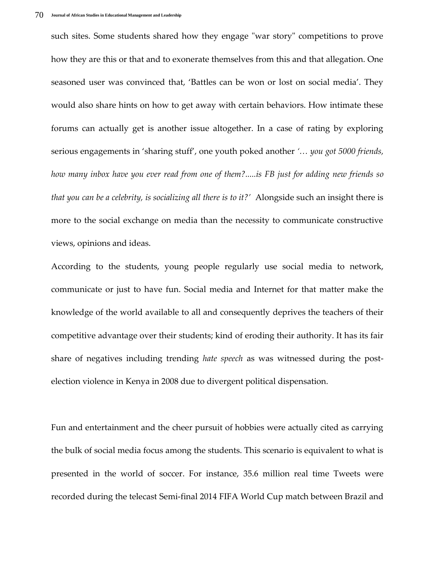such sites. Some students shared how they engage "war story" competitions to prove how they are this or that and to exonerate themselves from this and that allegation. One seasoned user was convinced that, 'Battles can be won or lost on social media'. They would also share hints on how to get away with certain behaviors. How intimate these forums can actually get is another issue altogether. In a case of rating by exploring serious engagements in 'sharing stuff', one youth poked another *'… you got 5000 friends, how many inbox have you ever read from one of them?.....is FB just for adding new friends so that you can be a celebrity, is socializing all there is to it?'* Alongside such an insight there is more to the social exchange on media than the necessity to communicate constructive views, opinions and ideas.

According to the students, young people regularly use social media to network, communicate or just to have fun. Social media and Internet for that matter make the knowledge of the world available to all and consequently deprives the teachers of their competitive advantage over their students; kind of eroding their authority. It has its fair share of negatives including trending *hate speech* as was witnessed during the postelection violence in Kenya in 2008 due to divergent political dispensation.

Fun and entertainment and the cheer pursuit of hobbies were actually cited as carrying the bulk of social media focus among the students. This scenario is equivalent to what is presented in the world of soccer. For instance, 35.6 million real time Tweets were recorded during the telecast Semi-final 2014 FIFA World Cup match between Brazil and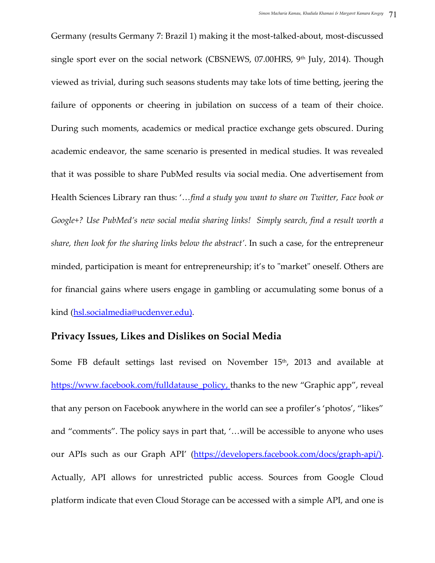Germany (results Germany 7: Brazil 1) making it the most-talked-about, most-discussed single sport ever on the social network (CBSNEWS,  $07.00HRS$ ,  $9<sup>th</sup>$  July, 2014). Though viewed as trivial, during such seasons students may take lots of time betting, jeering the failure of opponents or cheering in jubilation on success of a team of their choice. During such moments, academics or medical practice exchange gets obscured. During academic endeavor, the same scenario is presented in medical studies. It was revealed that it was possible to share PubMed results via social media. One advertisement from Health Sciences Library ran thus: '...find a study you want to share on Twitter, Face book or *Google+? Use PubMed's new social media sharing links! Simply search, find a result worth a share, then look for the sharing links below the abstract'*. In such a case, for the entrepreneur minded, participation is meant for entrepreneurship; it's to "market" oneself. Others are for financial gains where users engage in gambling or accumulating some bonus of a kind [\(hsl.socialmedia@ucdenver.edu\)](mailto:hsl.socialmedia@ucdenver.edu).

#### **Privacy Issues, Likes and Dislikes on Social Media**

Some FB default settings last revised on November 15<sup>th</sup>, 2013 and available at [https://www.facebook.com/fulldatause\\_policy,](https://www.facebook.com/fulldatause_policy) thanks to the new "Graphic app", reveal that any person on Facebook anywhere in the world can see a profiler's 'photos', 'likes' and "comments". The policy says in part that, '...will be accessible to anyone who uses our APIs such as our Graph API' [\(https://developers.facebook.com/docs/graph-api/\)](https://developers.facebook.com/docs/graph-api/). Actually, API allows for unrestricted public access. Sources from Google Cloud platform indicate that even Cloud Storage can be accessed with a simple API, and one is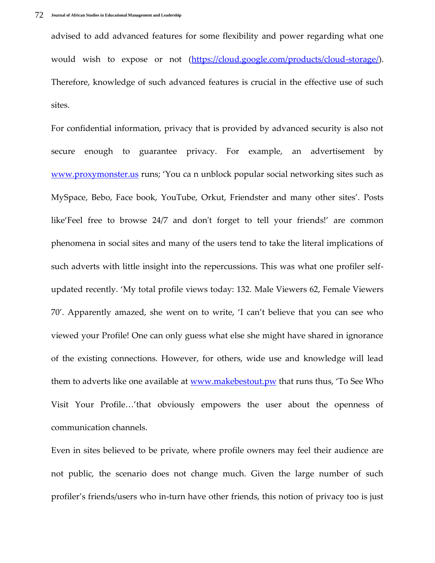advised to add advanced features for some flexibility and power regarding what one would wish to expose or not [\(https://cloud.google.com/products/cloud-storage/\)](https://cloud.google.com/products/cloud-storage/). Therefore, knowledge of such advanced features is crucial in the effective use of such sites.

For confidential information, privacy that is provided by advanced security is also not secure enough to guarantee privacy. For example, an advertisement by [www.proxymonster.us](http://www.proxymonster.us/) runs; 'You ca n unblock popular social networking sites such as MySpace, Bebo, Face book, YouTube, Orkut, Friendster and many other sites'. Posts like'Feel free to browse 24/7 and don't forget to tell your friends!' are common phenomena in social sites and many of the users tend to take the literal implications of such adverts with little insight into the repercussions. This was what one profiler selfupdated recently. 'My total profile views today: 132. Male Viewers 62, Female Viewers 70'. Apparently amazed, she went on to write, 'I can't believe that you can see who viewed your Profile! One can only guess what else she might have shared in ignorance of the existing connections. However, for others, wide use and knowledge will lead them to adverts like one available at <u>www.makebestout.pw</u> that runs thus, 'To See Who Visit Your Profile...'that obviously empowers the user about the openness of communication channels.

Even in sites believed to be private, where profile owners may feel their audience are not public, the scenario does not change much. Given the large number of such profiler's friends/users who in-turn have other friends, this notion of privacy too is just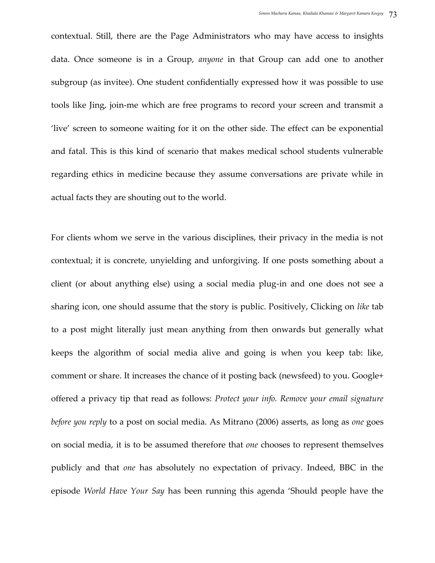contextual. Still, there are the Page Administrators who may have access to insights data. Once someone is in a Group, *anyone* in that Group can add one to another subgroup (as invitee). One student confidentially expressed how it was possible to use tools like Jing, join-me which are free programs to record your screen and transmit a 'live' screen to someone waiting for it on the other side. The effect can be exponential and fatal. This is this kind of scenario that makes medical school students vulnerable regarding ethics in medicine because they assume conversations are private while in actual facts they are shouting out to the world.

For clients whom we serve in the various disciplines, their privacy in the media is not contextual; it is concrete, unyielding and unforgiving. If one posts something about a client (or about anything else) using a social media plug-in and one does not see a sharing icon, one should assume that the story is public. Positively, Clicking on *like* tab to a post might literally just mean anything from then onwards but generally what keeps the algorithm of social media alive and going is when you keep tab: like, comment or share. It increases the chance of it posting back (newsfeed) to you. Google+ offered a privacy tip that read as follows: *Protect your info. Remove your email signature before you reply* to a post on social media. As Mitrano (2006) asserts, as long as *one* goes on social media, it is to be assumed therefore that *one* chooses to represent themselves publicly and that *one* has absolutely no expectation of privacy. Indeed, BBC in the episode *World Have Your Say* has been running this agenda 'Should people have the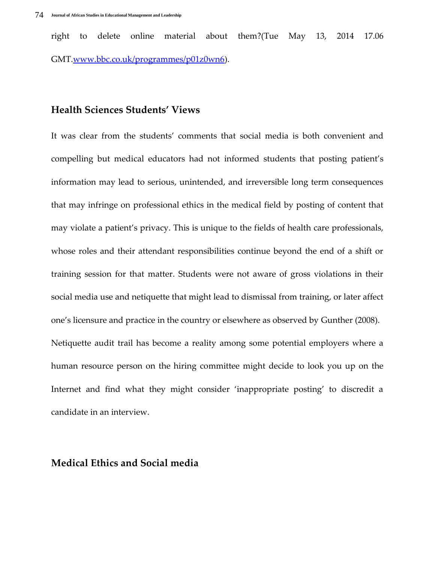right to delete online material about them?(Tue May 13, 2014 17.06 GMT[.www.bbc.co.uk/programmes/p01z0wn6\)](http://www.bbc.co.uk/programmes/p01z0wn6).

#### **Health Sciences Students' Views**

It was clear from the students' comments that social media is both convenient and compelling but medical educators had not informed students that posting patient's information may lead to serious, unintended, and irreversible long term consequences that may infringe on professional ethics in the medical field by posting of content that may violate a patient's privacy. This is unique to the fields of health care professionals, whose roles and their attendant responsibilities continue beyond the end of a shift or training session for that matter. Students were not aware of gross violations in their social media use and netiquette that might lead to dismissal from training, or later affect one's licensure and practice in the country or elsewhere as observed by Gunther (2008). Netiquette audit trail has become a reality among some potential employers where a human resource person on the hiring committee might decide to look you up on the Internet and find what they might consider 'inappropriate posting' to discredit a candidate in an interview.

#### **Medical Ethics and Social media**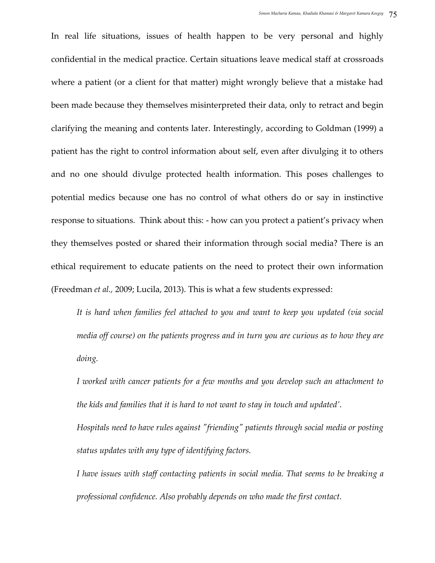In real life situations, issues of health happen to be very personal and highly confidential in the medical practice. Certain situations leave medical staff at crossroads where a patient (or a client for that matter) might wrongly believe that a mistake had been made because they themselves misinterpreted their data, only to retract and begin clarifying the meaning and contents later. Interestingly, according to Goldman (1999) a patient has the right to control information about self, even after divulging it to others and no one should divulge protected health information. This poses challenges to potential medics because one has no control of what others do or say in instinctive response to situations. Think about this: - how can you protect a patient's privacy when they themselves posted or shared their information through social media? There is an ethical requirement to educate patients on the need to protect their own information (Freedman *et al.,* 2009; Lucila, 2013). This is what a few students expressed:

*It is hard when families feel attached to you and want to keep you updated (via social media off course) on the patients progress and in turn you are curious as to how they are doing.*

*I worked with cancer patients for a few months and you develop such an attachment to the kids and families that it is hard to not want to stay in touch and updated'*.

*Hospitals need to have rules against "friending" patients through social media or posting status updates with any type of identifying factors.*

*I have issues with staff contacting patients in social media. That seems to be breaking a professional confidence. Also probably depends on who made the first contact.*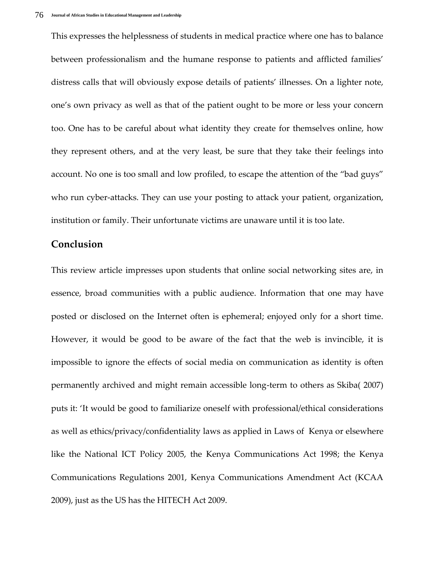This expresses the helplessness of students in medical practice where one has to balance between professionalism and the humane response to patients and afflicted families' distress calls that will obviously expose details of patients' illnesses. On a lighter note, one's own privacy as well as that of the patient ought to be more or less your concern too. One has to be careful about what identity they create for themselves online, how they represent others, and at the very least, be sure that they take their feelings into account. No one is too small and low profiled, to escape the attention of the 'bad guys' who run cyber-attacks. They can use your posting to attack your patient, organization, institution or family. Their unfortunate victims are unaware until it is too late.

#### **Conclusion**

This review article impresses upon students that online social networking sites are, in essence, broad communities with a public audience. Information that one may have posted or disclosed on the Internet often is ephemeral; enjoyed only for a short time. However, it would be good to be aware of the fact that the web is invincible, it is impossible to ignore the effects of social media on communication as identity is often permanently archived and might remain accessible long-term to others as Skiba( 2007) puts it: 'It would be good to familiarize oneself with professional/ethical considerations as well as ethics/privacy/confidentiality laws as applied in Laws of Kenya or elsewhere like the National ICT Policy 2005, the Kenya Communications Act 1998; the Kenya Communications Regulations 2001, Kenya Communications Amendment Act (KCAA 2009), just as the US has the HITECH Act 2009.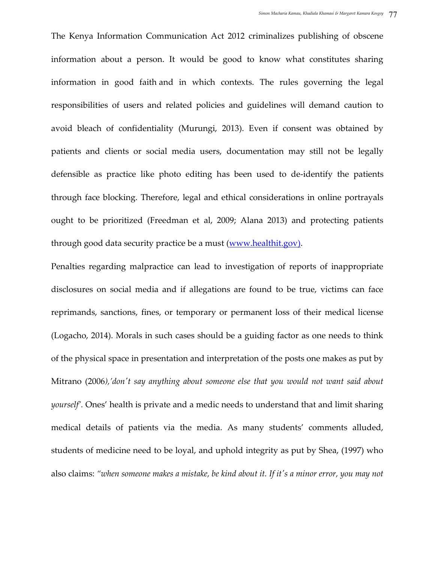The Kenya Information Communication Act 2012 criminalizes publishing of obscene information about a person. It would be good to know what constitutes sharing information in good faith and in which contexts. The rules governing the legal responsibilities of users and related policies and guidelines will demand caution to avoid bleach of confidentiality (Murungi, 2013). Even if consent was obtained by patients and clients or social media users, documentation may still not be legally defensible as practice like photo editing has been used to de-identify the patients through face blocking. Therefore, legal and ethical considerations in online portrayals ought to be prioritized (Freedman et al, 2009; Alana 2013) and protecting patients through good data security practice be a must [\(www.healthit.gov\)](http://www.healthit.gov/).

Penalties regarding malpractice can lead to investigation of reports of inappropriate disclosures on social media and if allegations are found to be true, victims can face reprimands, sanctions, fines, or temporary or permanent loss of their medical license (Logacho, 2014). Morals in such cases should be a guiding factor as one needs to think of the physical space in presentation and interpretation of the posts one makes as put by Mitrano (2006*),'don't say anything about someone else that you would not want said about yourself'.* Ones' health is private and a medic needs to understand that and limit sharing medical details of patients via the media. As many students' comments alluded, students of medicine need to be loyal, and uphold integrity as put by Shea, (1997) who also claims: *'when someone makes a mistake, be kind about it. If it's a minor error, you may not*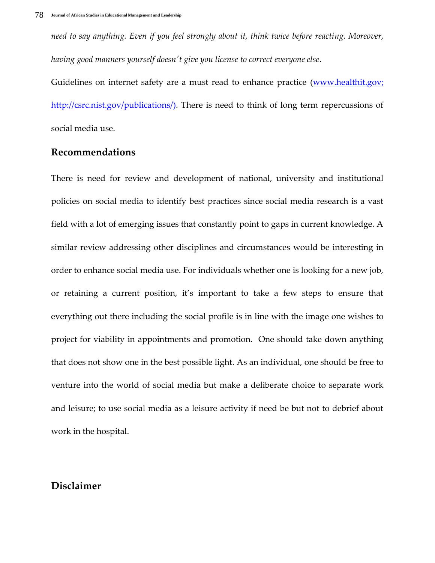*need to say anything. Even if you feel strongly about it, think twice before reacting. Moreover, having good manners yourself doesn't give you license to correct everyone else*.

Guidelines on internet safety are a must read to enhance practice [\(www.healthit.gov;](http://www.healthit.gov/) [http://csrc.nist.gov/publications/\)](http://csrc.nist.gov/publications/). There is need to think of long term repercussions of social media use.

### **Recommendations**

There is need for review and development of national, university and institutional policies on social media to identify best practices since social media research is a vast field with a lot of emerging issues that constantly point to gaps in current knowledge. A similar review addressing other disciplines and circumstances would be interesting in order to enhance social media use. For individuals whether one is looking for a new job, or retaining a current position, it's important to take a few steps to ensure that everything out there including the social profile is in line with the image one wishes to project for viability in appointments and promotion. One should take down anything that does not show one in the best possible light. As an individual, one should be free to venture into the world of social media but make a deliberate choice to separate work and leisure; to use social media as a leisure activity if need be but not to debrief about work in the hospital.

## **Disclaimer**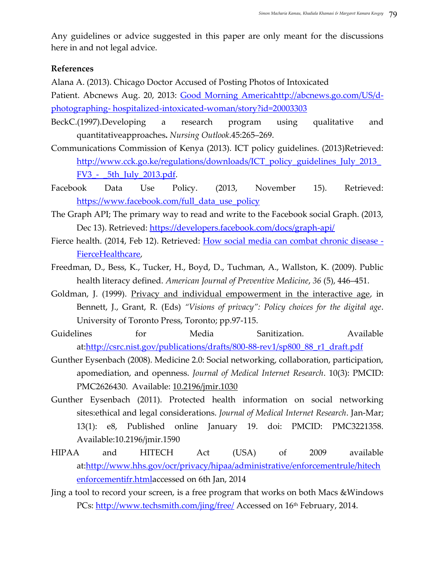Any guidelines or advice suggested in this paper are only meant for the discussions here in and not legal advice.

#### **References**

Alana A. (2013). Chicago Doctor Accused of Posting Photos of Intoxicated

Patient. Abcnews Aug. 20, 2013: [Good Morning Americahttp://abcnews.go.com/US/d](http://abcnews.go.com/gma)photographing- [hospitalized-intoxicated-woman/story?id=20003303](http://abcnews.go.com/US/d-photographing-%20hospitalized-intoxicated-woman/story?id=20003303)

- BeckC.(1997).Developing a research program using qualitative and quantitativeapproaches**.** *Nursing Outlook*.45:265–269.
- Communications Commission of Kenya (2013). ICT policy guidelines. (2013)Retrieved: [http://www.cck.go.ke/regulations/downloads/ICT\\_policy\\_guidelines\\_July\\_2013\\_](http://www.cck.go.ke/regulations/downloads/ICT_policy_guidelines_July_2013_FV3_-%20%20_5th_July_2013.pdf) FV3 - 5th July 2013.pdf.
- Facebook Data Use Policy. (2013, November 15). Retrieved: [https://www.facebook.com/full\\_data\\_use\\_policy](https://www.facebook.com/full_data_use_policy)
- The Graph API; The primary way to read and write to the Facebook social Graph. (2013, Dec 13). Retrieved:<https://developers.facebook.com/docs/graph-api/>
- Fierce health. (2014, Feb 12). Retrieved: [How social media can combat chronic disease -](http://www.fiercehealthcare.com/story/how-social-media-can-combat-chronic-disease/2014-01-31#ixzz2t9oLZMNN) [FierceHealthcare,](http://www.fiercehealthcare.com/story/how-social-media-can-combat-chronic-disease/2014-01-31#ixzz2t9oLZMNN)
- Freedman, D., Bess, K., Tucker, H., Boyd, D., Tuchman, A., Wallston, K. (2009). Public health literacy defined. *American Journal of Preventive Medicine*, *36* (5), 446–451.
- Goldman, J. (1999). [Privacy and individual empowerment in the interactive age,](http://www.mailman.columbia.edu/sites/default/files/Privacy%20and%20Individual%20Empowerment%20Interactive%20Age%20Goldman.pdf) in Bennett, J., Grant, R. (Eds) *'Visions of privacy': Policy choices for the digital age*. University of Toronto Press, Toronto; pp.97-115.
- Guidelines for Media Sanitization. Available at[:http://csrc.nist.gov/publications/drafts/800-88-rev1/sp800\\_88\\_r1\\_draft.pdf](http://csrc.nist.gov/publications/drafts/800-88-rev1/sp800_88_r1_draft.pdf)
- Gunther Eysenbach (2008). Medicine 2.0: Social networking, collaboration, participation, apomediation, and openness. *Journal of Medical Internet Research*. 10(3): PMCID: PMC2626430. Available: 10.2196/jmir.1030
- Gunther Eysenbach (2011). Protected health information on social networking sites:ethical and legal considerations. *Journal of Medical Internet Research*. Jan-Mar; 13(1): e8, Published online January 19. doi: PMCID: PMC3221358. Available:10.2196/jmir.1590
- HIPAA and HITECH Act (USA) of 2009 available at[:http://www.hhs.gov/ocr/privacy/hipaa/administrative/enforcementrule/hitech](http://www.hhs.gov/ocr/privacy/hipaa/administrative/enforcementrule/hitechenforcementifr.html) [enforcementifr.htmla](http://www.hhs.gov/ocr/privacy/hipaa/administrative/enforcementrule/hitechenforcementifr.html)ccessed on 6th Jan, 2014
- Jing a tool to record your screen, is a free program that works on both Macs &Windows PCs:<http://www.techsmith.com/jing/free/> Accessed on 16<sup>th</sup> February, 2014.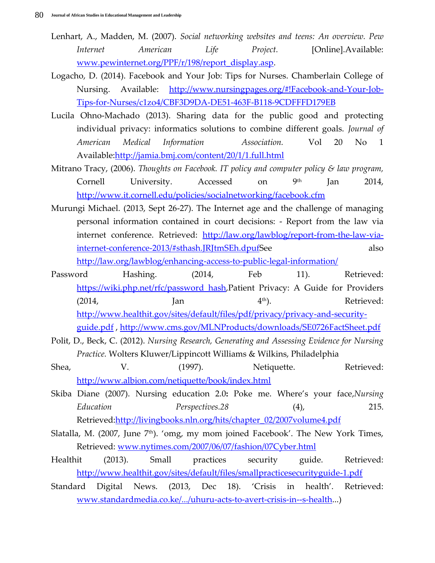- Lenhart, A., Madden, M. (2007). *Social networking websites and teens: An overview. Pew Internet American Life Project.* [Online].Available: [www.pewinternet.org/PPF/r/198/report\\_display.asp.](http://www.pewinternet.org/PPF/r/198/report_display.asp)
- Logacho, D. (2014). Facebook and Your Job: Tips for Nurses. Chamberlain College of Nursing. Available: [http://www.nursingpages.org/#!Facebook-and-Your-Job-](http://www.nursingpages.org/#!Facebook-and-Your-Job-Tips-for-Nurses/c1zo4/CBF3D9DA-DE51-463F-B118-9CDFFFD179EB)[Tips-for-Nurses/c1zo4/CBF3D9DA-DE51-463F-B118-9CDFFFD179EB](http://www.nursingpages.org/#!Facebook-and-Your-Job-Tips-for-Nurses/c1zo4/CBF3D9DA-DE51-463F-B118-9CDFFFD179EB)
- Lucila Ohno-Machado (2013). Sharing data for the public good and protecting individual privacy: informatics solutions to combine different goals. *Journal of American Medical Information Association.* Vol 20 No 1 Available[:http://jamia.bmj.com/content/20/1/1.full.html](http://jamia.bmj.com/content/20/1/1.full.html)
- Mitrano Tracy, (2006). *Thoughts on Facebook. IT policy and computer policy & law program,* Cornell University. Accessed on 9<sup>th</sup> Jan 2014, <http://www.it.cornell.edu/policies/socialnetworking/facebook.cfm>
- Murungi Michael. (2013, Sept 26-27). The Internet age and the challenge of managing personal information contained in court decisions: - Report from the law via internet conference. Retrieved: [http://law.org/lawblog/report-from-the-law-via](http://kenyalaw.org/kenyalawblog/report-from-the-law-via-internet-conference-2013/#sthash.JRJtmSEh.dpuf)[internet-conference-2013/#sthash.JRJtmSEh.dpufS](http://kenyalaw.org/kenyalawblog/report-from-the-law-via-internet-conference-2013/#sthash.JRJtmSEh.dpuf)ee also [http://law.org/lawblog/enhancing-access-to-public-legal-information/](http://kenyalaw.org/kenyalawblog/enhancing-access-to-public-legal-information/)
- Password Hashing. (2014, Feb 11). Retrieved: [https://wiki.php.net/rfc/password\\_hash,](https://wiki.php.net/rfc/password_hash)Patient Privacy: A Guide for Providers  $(2014,$  Jan  $[4<sup>th</sup>)$ . Retrieved: [http://www.healthit.gov/sites/default/files/pdf/privacy/privacy-and-security](http://www.healthit.gov/sites/default/files/pdf/privacy/privacy-and-security-guide.pdf)[guide.pdf](http://www.healthit.gov/sites/default/files/pdf/privacy/privacy-and-security-guide.pdf) ,<http://www.cms.gov/MLNProducts/downloads/SE0726FactSheet.pdf>
- Polit, D., Beck, C. (2012). *Nursing Research, Generating and Assessing Evidence for Nursing Practice.* Wolters Kluwer/Lippincott Williams & Wilkins, Philadelphia
- Shea,  $V.$  (1997). Netiquette. Retrieved: <http://www.albion.com/netiquette/book/index.html>
- Skiba Diane (2007). Nursing education 2.0**:** Poke me. Where's your face,*Nursing Education Perspectives.28* (4), 215. Retrieved[:http://livingbooks.nln.org/hits/chapter\\_02/2007volume4.pdf](http://livingbooks.nln.org/hits/chapter_02/2007volume4.pdf)
- Slatalla, M. (2007, June  $7<sup>th</sup>$ ). 'omg, my mom joined Facebook'. The New York Times, Retrieved: [www.nytimes.com/2007/06/07/fashion/07Cyber.html](http://www.nytimes.com/2007/06/07/fashion/07Cyber.html)
- Healthit (2013). Small practices security guide. Retrieved: <http://www.healthit.gov/sites/default/files/smallpracticesecurityguide-1.pdf>
- Standard Digital News. (2013, Dec 18). 'Crisis in health'. Retrieved: [www.standardmedia.co.ke/.../uhuru-acts-to-avert-crisis-in--s-health.](http://www.standardmedia.co.ke/.../uhuru-acts-to-avert-crisis-in--s-health)..)